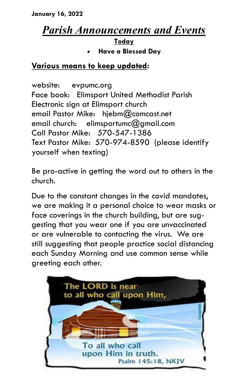## *Parish Announcements and Events*

**Today**

**Have a Blessed Day**

## **Various means to keep updated:**

website: evpumc.org Face book: Elimsport United Methodist Parish Electronic sign at Elimsport church email Pastor Mike: hjebm@comcast.net email church: elimsportumc@gmail.com Call Pastor Mike: 570-547-1386 Text Pastor Mike: 570-974-8590 (please identify yourself when texting)

Be pro-active in getting the word out to others in the church.

Due to the constant changes in the covid mandates, we are making it a personal choice to wear masks or face coverings in the church building, but are suggesting that you wear one if you are unvaccinated or are vulnerable to contacting the virus. We are still suggesting that people practice social distancing each Sunday Morning and use common sense while greeting each other.

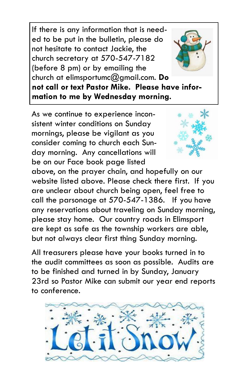If there is any information that is needed to be put in the bulletin, please do not hesitate to contact Jackie, the church secretary at 570-547-7182 (before 8 pm) or by emailing the church at elimsportumc@gmail.com. **Do** 



**not call or text Pastor Mike. Please have information to me by Wednesday morning.**

As we continue to experience inconsistent winter conditions on Sunday mornings, please be vigilant as you consider coming to church each Sunday morning. Any cancellations will be on our Face book page listed



above, on the prayer chain, and hopefully on our website listed above. Please check there first. If you are unclear about church being open, feel free to call the parsonage at 570-547-1386. If you have any reservations about traveling on Sunday morning, please stay home. Our country roads in Elimsport are kept as safe as the township workers are able, but not always clear first thing Sunday morning.

All treasurers please have your books turned in to the audit committees as soon as possible. Audits are to be finished and turned in by Sunday, January 23rd so Pastor Mike can submit our year end reports to conference.

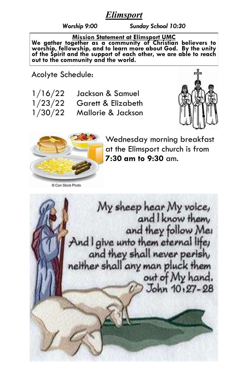## *Elimsport*

*Worship 9:00 Sunday School 10:30*

**Mission Statement at Elimsport UMC We gather together as a community of Christian believers to worship, fellowship, and to learn more about God. By the unity of the Spirit and the support of each other, we are able to reach out to the community and the world.**

Acolyte Schedule:

| 1/16/22 | Jackson & Samuel   |
|---------|--------------------|
| 1/23/22 | Garett & Elizabeth |
| 1/30/22 | Mallorie & Jackson |





Can Stock Photo

Wednesday morning breakfast at the Elimsport church is from **7:30 am to 9:30** am.